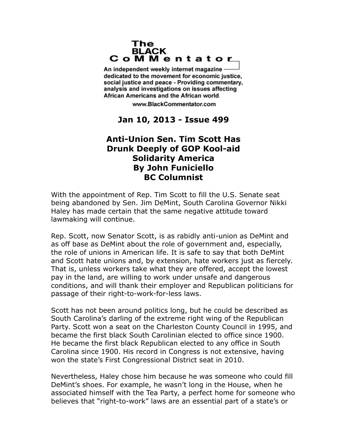## The **BLACK** CoMMentator

An independent weekly internet magazine dedicated to the movement for economic justice. social justice and peace - Providing commentary, analysis and investigations on issues affecting African Americans and the African world.

www.BlackCommentator.com

## **Jan 10, 2013 - Issue 499**

## **Anti-Union Sen. Tim Scott Has Drunk Deeply of GOP Kool-aid Solidarity America By John Funiciello BC Columnist**

With the appointment of Rep. Tim Scott to fill the U.S. Senate seat being abandoned by Sen. Jim DeMint, South Carolina Governor Nikki Haley has made certain that the same negative attitude toward lawmaking will continue.

Rep. Scott, now Senator Scott, is as rabidly anti-union as DeMint and as off base as DeMint about the role of government and, especially, the role of unions in American life. It is safe to say that both DeMint and Scott hate unions and, by extension, hate workers just as fiercely. That is, unless workers take what they are offered, accept the lowest pay in the land, are willing to work under unsafe and dangerous conditions, and will thank their employer and Republican politicians for passage of their right-to-work-for-less laws.

Scott has not been around politics long, but he could be described as South Carolina's darling of the extreme right wing of the Republican Party. Scott won a seat on the Charleston County Council in 1995, and became the first black South Carolinian elected to office since 1900. He became the first black Republican elected to any office in South Carolina since 1900. His record in Congress is not extensive, having won the state's First Congressional District seat in 2010.

Nevertheless, Haley chose him because he was someone who could fill DeMint's shoes. For example, he wasn't long in the House, when he associated himself with the Tea Party, a perfect home for someone who believes that "right-to-work" laws are an essential part of a state's or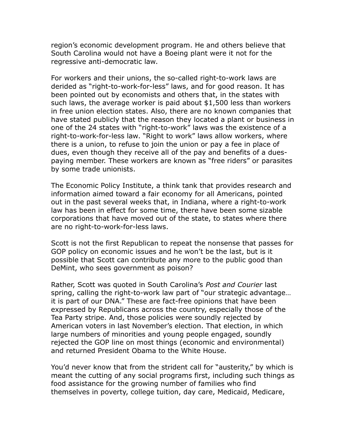region's economic development program. He and others believe that South Carolina would not have a Boeing plant were it not for the regressive anti-democratic law.

For workers and their unions, the so-called right-to-work laws are derided as "right-to-work-for-less" laws, and for good reason. It has been pointed out by economists and others that, in the states with such laws, the average worker is paid about \$1,500 less than workers in free union election states. Also, there are no known companies that have stated publicly that the reason they located a plant or business in one of the 24 states with "right-to-work" laws was the existence of a right-to-work-for-less law. "Right to work" laws allow workers, where there is a union, to refuse to join the union or pay a fee in place of dues, even though they receive all of the pay and benefits of a duespaying member. These workers are known as "free riders" or parasites by some trade unionists.

The Economic Policy Institute, a think tank that provides research and information aimed toward a fair economy for all Americans, pointed out in the past several weeks that, in Indiana, where a right-to-work law has been in effect for some time, there have been some sizable corporations that have moved out of the state, to states where there are no right-to-work-for-less laws.

Scott is not the first Republican to repeat the nonsense that passes for GOP policy on economic issues and he won't be the last, but is it possible that Scott can contribute any more to the public good than DeMint, who sees government as poison?

Rather, Scott was quoted in South Carolina's *Post and Courier* last spring, calling the right-to-work law part of "our strategic advantage… it is part of our DNA." These are fact-free opinions that have been expressed by Republicans across the country, especially those of the Tea Party stripe. And, those policies were soundly rejected by American voters in last November's election. That election, in which large numbers of minorities and young people engaged, soundly rejected the GOP line on most things (economic and environmental) and returned President Obama to the White House.

You'd never know that from the strident call for "austerity," by which is meant the cutting of any social programs first, including such things as food assistance for the growing number of families who find themselves in poverty, college tuition, day care, Medicaid, Medicare,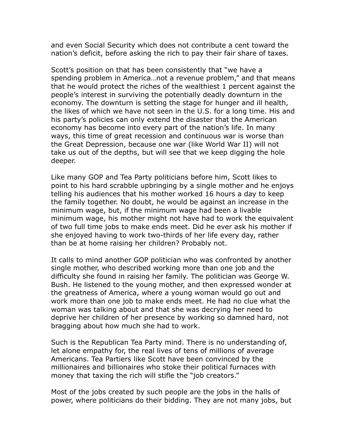and even Social Security which does not contribute a cent toward the nation's deficit, before asking the rich to pay their fair share of taxes.

Scott's position on that has been consistently that "we have a spending problem in America...not a revenue problem," and that means that he would protect the riches of the wealthiest 1 percent against the people's interest in surviving the potentially deadly downturn in the economy. The downturn is setting the stage for hunger and ill health, the likes of which we have not seen in the U.S. for a long time. His and his party's policies can only extend the disaster that the American economy has become into every part of the nation's life. In many ways, this time of great recession and continuous war is worse than the Great Depression, because one war (like World War II) will not take us out of the depths, but will see that we keep digging the hole deeper.

Like many GOP and Tea Party politicians before him, Scott likes to point to his hard scrabble upbringing by a single mother and he enjoys telling his audiences that his mother worked 16 hours a day to keep the family together. No doubt, he would be against an increase in the minimum wage, but, if the minimum wage had been a livable minimum wage, his mother might not have had to work the equivalent of two full time jobs to make ends meet. Did he ever ask his mother if she enjoyed having to work two-thirds of her life every day, rather than be at home raising her children? Probably not.

It calls to mind another GOP politician who was confronted by another single mother, who described working more than one job and the difficulty she found in raising her family. The politician was George W. Bush. He listened to the young mother, and then expressed wonder at the greatness of America, where a young woman would go out and work more than one job to make ends meet. He had no clue what the woman was talking about and that she was decrying her need to deprive her children of her presence by working so damned hard, not bragging about how much she had to work.

Such is the Republican Tea Party mind. There is no understanding of, let alone empathy for, the real lives of tens of millions of average Americans. Tea Partiers like Scott have been convinced by the millionaires and billionaires who stoke their political furnaces with money that taxing the rich will stifle the "job creators."

Most of the jobs created by such people are the jobs in the halls of power, where politicians do their bidding. They are not many jobs, but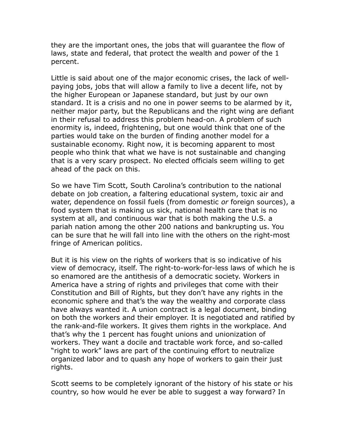they are the important ones, the jobs that will guarantee the flow of laws, state and federal, that protect the wealth and power of the 1 percent.

Little is said about one of the major economic crises, the lack of wellpaying jobs, jobs that will allow a family to live a decent life, not by the higher European or Japanese standard, but just by our own standard. It is a crisis and no one in power seems to be alarmed by it, neither major party, but the Republicans and the right wing are defiant in their refusal to address this problem head-on. A problem of such enormity is, indeed, frightening, but one would think that one of the parties would take on the burden of finding another model for a sustainable economy. Right now, it is becoming apparent to most people who think that what we have is not sustainable and changing that is a very scary prospect. No elected officials seem willing to get ahead of the pack on this.

So we have Tim Scott, South Carolina's contribution to the national debate on job creation, a faltering educational system, toxic air and water, dependence on fossil fuels (from domestic *or* foreign sources), a food system that is making us sick, national health care that is no system at all, and continuous war that is both making the U.S. a pariah nation among the other 200 nations and bankrupting us. You can be sure that he will fall into line with the others on the right-most fringe of American politics.

But it is his view on the rights of workers that is so indicative of his view of democracy, itself. The right-to-work-for-less laws of which he is so enamored are the antithesis of a democratic society. Workers in America have a string of rights and privileges that come with their Constitution and Bill of Rights, but they don't have any rights in the economic sphere and that's the way the wealthy and corporate class have always wanted it. A union contract is a legal document, binding on both the workers and their employer. It is negotiated and ratified by the rank-and-file workers. It gives them rights in the workplace. And that's why the 1 percent has fought unions and unionization of workers. They want a docile and tractable work force, and so-called "right to work" laws are part of the continuing effort to neutralize organized labor and to quash any hope of workers to gain their just rights.

Scott seems to be completely ignorant of the history of his state or his country, so how would he ever be able to suggest a way forward? In